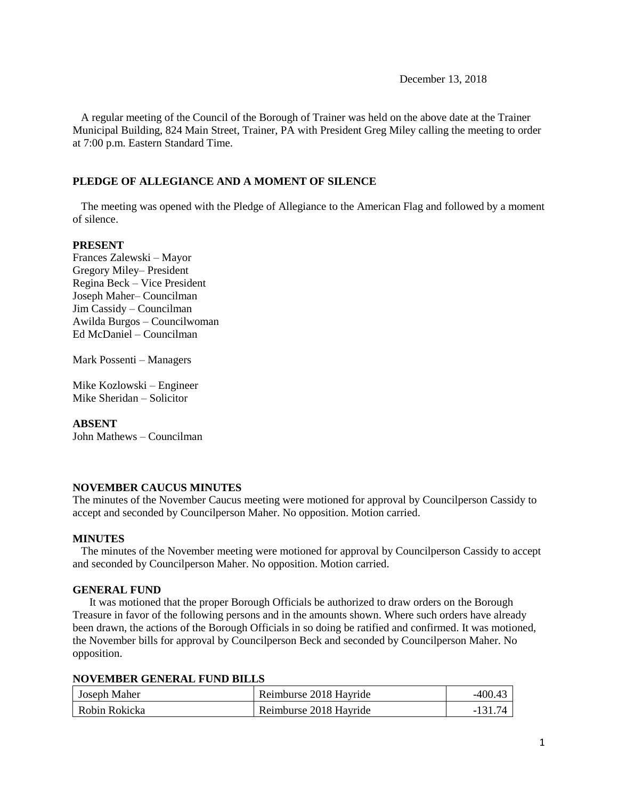December 13, 2018

 A regular meeting of the Council of the Borough of Trainer was held on the above date at the Trainer Municipal Building, 824 Main Street, Trainer, PA with President Greg Miley calling the meeting to order at 7:00 p.m. Eastern Standard Time.

## **PLEDGE OF ALLEGIANCE AND A MOMENT OF SILENCE**

 The meeting was opened with the Pledge of Allegiance to the American Flag and followed by a moment of silence.

## **PRESENT**

Frances Zalewski – Mayor Gregory Miley– President Regina Beck – Vice President Joseph Maher– Councilman Jim Cassidy – Councilman Awilda Burgos – Councilwoman Ed McDaniel – Councilman

Mark Possenti – Managers

Mike Kozlowski – Engineer Mike Sheridan – Solicitor

## **ABSENT**

John Mathews – Councilman

## **NOVEMBER CAUCUS MINUTES**

The minutes of the November Caucus meeting were motioned for approval by Councilperson Cassidy to accept and seconded by Councilperson Maher. No opposition. Motion carried.

#### **MINUTES**

The minutes of the November meeting were motioned for approval by Councilperson Cassidy to accept and seconded by Councilperson Maher. No opposition. Motion carried.

### **GENERAL FUND**

 It was motioned that the proper Borough Officials be authorized to draw orders on the Borough Treasure in favor of the following persons and in the amounts shown. Where such orders have already been drawn, the actions of the Borough Officials in so doing be ratified and confirmed. It was motioned, the November bills for approval by Councilperson Beck and seconded by Councilperson Maher. No opposition.

| <b>NOVEMBER GENERAL FUND BILLS</b> |  |  |  |
|------------------------------------|--|--|--|
|------------------------------------|--|--|--|

| Joseph Maher  | Reimburse 2018 Hayride | $-400.43$ |
|---------------|------------------------|-----------|
| Robin Rokicka | Reimburse 2018 Hayride | $-131.74$ |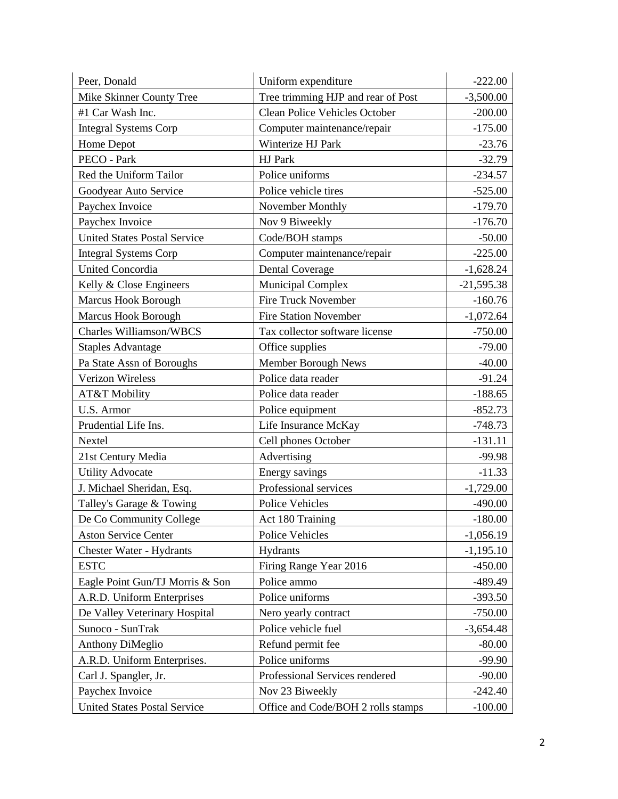| Peer, Donald                        | Uniform expenditure                | $-222.00$    |
|-------------------------------------|------------------------------------|--------------|
| Mike Skinner County Tree            | Tree trimming HJP and rear of Post | $-3,500.00$  |
| #1 Car Wash Inc.                    | Clean Police Vehicles October      | $-200.00$    |
| <b>Integral Systems Corp</b>        | Computer maintenance/repair        | $-175.00$    |
| Home Depot                          | Winterize HJ Park                  | $-23.76$     |
| PECO - Park                         | HJ Park                            | $-32.79$     |
| Red the Uniform Tailor              | Police uniforms                    | $-234.57$    |
| Goodyear Auto Service               | Police vehicle tires               | $-525.00$    |
| Paychex Invoice                     | November Monthly                   | $-179.70$    |
| Paychex Invoice                     | Nov 9 Biweekly                     | $-176.70$    |
| <b>United States Postal Service</b> | Code/BOH stamps                    | $-50.00$     |
| <b>Integral Systems Corp</b>        | Computer maintenance/repair        | $-225.00$    |
| <b>United Concordia</b>             | <b>Dental Coverage</b>             | $-1,628.24$  |
| Kelly & Close Engineers             | <b>Municipal Complex</b>           | $-21,595.38$ |
| Marcus Hook Borough                 | <b>Fire Truck November</b>         | $-160.76$    |
| <b>Marcus Hook Borough</b>          | <b>Fire Station November</b>       | $-1,072.64$  |
| <b>Charles Williamson/WBCS</b>      | Tax collector software license     | $-750.00$    |
| <b>Staples Advantage</b>            | Office supplies                    | $-79.00$     |
| Pa State Assn of Boroughs           | Member Borough News                | $-40.00$     |
| Verizon Wireless                    | Police data reader                 | $-91.24$     |
| AT&T Mobility                       | Police data reader                 | $-188.65$    |
| U.S. Armor                          | Police equipment                   | $-852.73$    |
| Prudential Life Ins.                | Life Insurance McKay               | $-748.73$    |
| Nextel                              | Cell phones October                | $-131.11$    |
| 21st Century Media                  | Advertising                        | $-99.98$     |
| <b>Utility Advocate</b>             | Energy savings                     | $-11.33$     |
| J. Michael Sheridan, Esq.           | Professional services              | $-1,729.00$  |
| Talley's Garage & Towing            | <b>Police Vehicles</b>             | $-490.00$    |
| De Co Community College             | Act 180 Training                   | $-180.00$    |
| <b>Aston Service Center</b>         | Police Vehicles                    | $-1,056.19$  |
| <b>Chester Water - Hydrants</b>     | <b>Hydrants</b>                    | $-1,195.10$  |
| <b>ESTC</b>                         | Firing Range Year 2016             | $-450.00$    |
| Eagle Point Gun/TJ Morris & Son     | Police ammo                        | -489.49      |
| A.R.D. Uniform Enterprises          | Police uniforms                    | $-393.50$    |
| De Valley Veterinary Hospital       | Nero yearly contract               | $-750.00$    |
| Sunoco - SunTrak                    | Police vehicle fuel                | $-3,654.48$  |
| <b>Anthony DiMeglio</b>             | Refund permit fee                  | $-80.00$     |
| A.R.D. Uniform Enterprises.         | Police uniforms                    | $-99.90$     |
| Carl J. Spangler, Jr.               | Professional Services rendered     | $-90.00$     |
| Paychex Invoice                     | Nov 23 Biweekly                    | $-242.40$    |
| <b>United States Postal Service</b> | Office and Code/BOH 2 rolls stamps | $-100.00$    |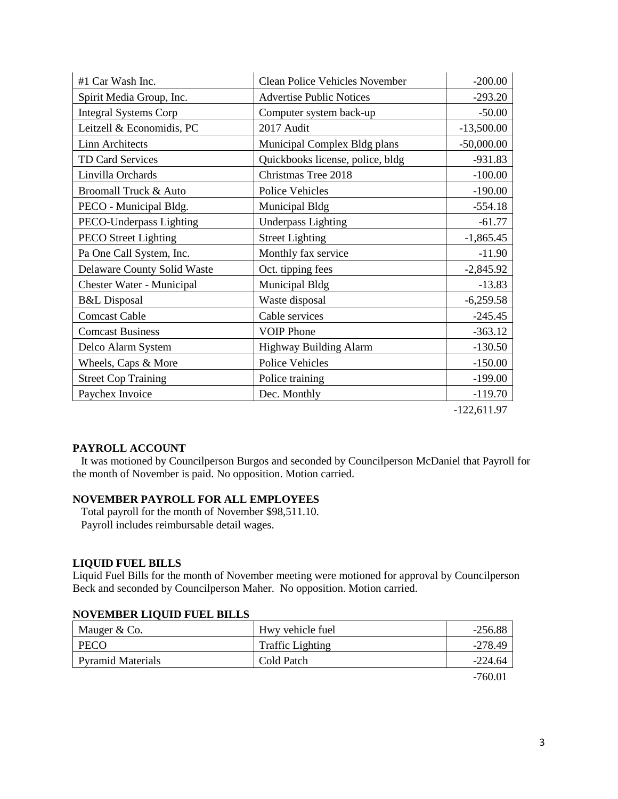| $#1$ Car Wash Inc.                 | <b>Clean Police Vehicles November</b> | $-200.00$     |
|------------------------------------|---------------------------------------|---------------|
| Spirit Media Group, Inc.           | <b>Advertise Public Notices</b>       | $-293.20$     |
| <b>Integral Systems Corp</b>       | Computer system back-up               | $-50.00$      |
| Leitzell & Economidis, PC          | 2017 Audit                            | $-13,500.00$  |
| <b>Linn Architects</b>             | Municipal Complex Bldg plans          | $-50,000.00$  |
| TD Card Services                   | Quickbooks license, police, bldg      | $-931.83$     |
| Linvilla Orchards                  | Christmas Tree 2018                   | $-100.00$     |
| <b>Broomall Truck &amp; Auto</b>   | <b>Police Vehicles</b>                | $-190.00$     |
| PECO - Municipal Bldg.             | Municipal Bldg                        | $-554.18$     |
| PECO-Underpass Lighting            | <b>Underpass Lighting</b>             | $-61.77$      |
| <b>PECO Street Lighting</b>        | <b>Street Lighting</b>                | $-1,865.45$   |
| Pa One Call System, Inc.           | Monthly fax service                   | $-11.90$      |
| <b>Delaware County Solid Waste</b> | Oct. tipping fees                     | $-2,845.92$   |
| Chester Water - Municipal          | <b>Municipal Bldg</b>                 | $-13.83$      |
| <b>B&amp;L</b> Disposal            | Waste disposal                        | $-6,259.58$   |
| <b>Comcast Cable</b>               | Cable services                        | $-245.45$     |
| <b>Comcast Business</b>            | <b>VOIP Phone</b>                     | $-363.12$     |
| Delco Alarm System                 | Highway Building Alarm                | $-130.50$     |
| Wheels, Caps & More                | <b>Police Vehicles</b>                | $-150.00$     |
| <b>Street Cop Training</b>         | Police training                       | $-199.00$     |
| Paychex Invoice                    | Dec. Monthly                          | $-119.70$     |
|                                    |                                       | $-122,611.97$ |

## **PAYROLL ACCOUNT**

 It was motioned by Councilperson Burgos and seconded by Councilperson McDaniel that Payroll for the month of November is paid. No opposition. Motion carried.

## **NOVEMBER PAYROLL FOR ALL EMPLOYEES**

 Total payroll for the month of November \$98,511.10. Payroll includes reimbursable detail wages.

## **LIQUID FUEL BILLS**

Liquid Fuel Bills for the month of November meeting were motioned for approval by Councilperson Beck and seconded by Councilperson Maher. No opposition. Motion carried.

| <b>NOVEMBER LIQUID FUEL BILLS</b> |                         |           |
|-----------------------------------|-------------------------|-----------|
| Mauger & Co.                      | Hwy vehicle fuel        | $-256.88$ |
| PECO                              | <b>Traffic Lighting</b> | $-278.49$ |
| <b>Pyramid Materials</b>          | Cold Patch              | $-224.64$ |
|                                   |                         |           |

## **NOVEMBER LIQUID FUEL BILLS**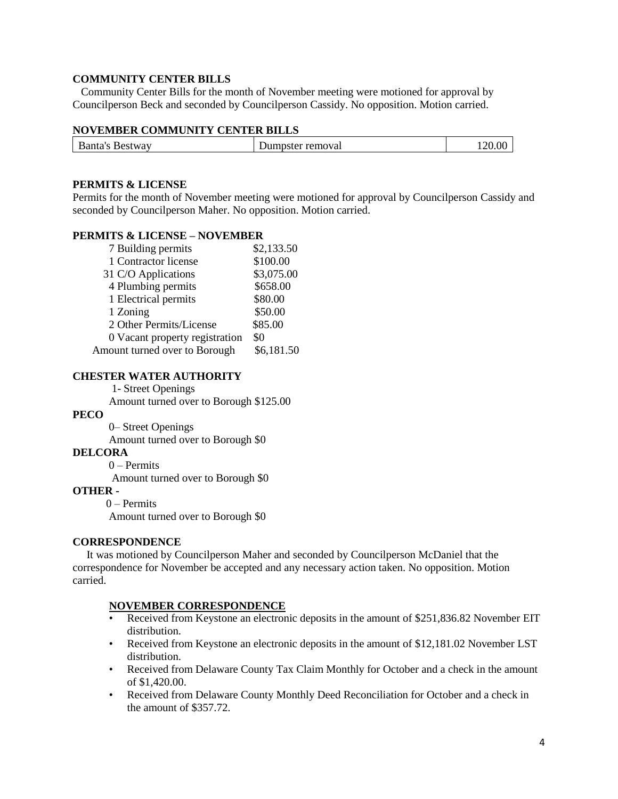## **COMMUNITY CENTER BILLS**

 Community Center Bills for the month of November meeting were motioned for approval by Councilperson Beck and seconded by Councilperson Cassidy. No opposition. Motion carried.

## **NOVEMBER COMMUNITY CENTER BILLS**

| Banta's<br><b>Bestway</b> | Jumpster removal |  |
|---------------------------|------------------|--|
|                           |                  |  |

## **PERMITS & LICENSE**

Permits for the month of November meeting were motioned for approval by Councilperson Cassidy and seconded by Councilperson Maher. No opposition. Motion carried.

### **PERMITS & LICENSE – NOVEMBER**

| 7 Building permits             | \$2,133.50 |
|--------------------------------|------------|
| 1 Contractor license           | \$100.00   |
| 31 C/O Applications            | \$3,075.00 |
| 4 Plumbing permits             | \$658.00   |
| 1 Electrical permits           | \$80.00    |
| 1 Zoning                       | \$50.00    |
| 2 Other Permits/License        | \$85.00    |
| 0 Vacant property registration | \$0        |
| Amount turned over to Borough  | \$6,181.50 |

### **CHESTER WATER AUTHORITY**

1- Street Openings

Amount turned over to Borough \$125.00

## **PECO**

0– Street Openings

Amount turned over to Borough \$0

## **DELCORA**

0 – Permits Amount turned over to Borough \$0

#### **OTHER -**

0 – Permits

Amount turned over to Borough \$0

## **CORRESPONDENCE**

 It was motioned by Councilperson Maher and seconded by Councilperson McDaniel that the correspondence for November be accepted and any necessary action taken. No opposition. Motion carried.

#### **NOVEMBER CORRESPONDENCE**

- Received from Keystone an electronic deposits in the amount of \$251,836.82 November EIT distribution.
- Received from Keystone an electronic deposits in the amount of \$12,181.02 November LST distribution.
- Received from Delaware County Tax Claim Monthly for October and a check in the amount of \$1,420.00.
- Received from Delaware County Monthly Deed Reconciliation for October and a check in the amount of \$357.72.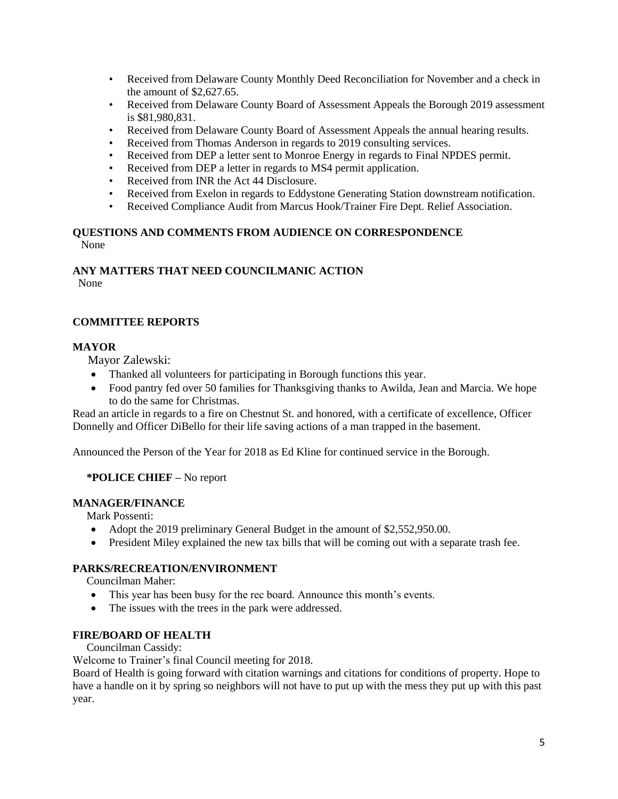- Received from Delaware County Monthly Deed Reconciliation for November and a check in the amount of \$2,627.65.
- Received from Delaware County Board of Assessment Appeals the Borough 2019 assessment is \$81,980,831.
- Received from Delaware County Board of Assessment Appeals the annual hearing results.
- Received from Thomas Anderson in regards to 2019 consulting services.
- Received from DEP a letter sent to Monroe Energy in regards to Final NPDES permit.
- Received from DEP a letter in regards to MS4 permit application.
- Received from INR the Act 44 Disclosure.
- Received from Exelon in regards to Eddystone Generating Station downstream notification.
- Received Compliance Audit from Marcus Hook/Trainer Fire Dept. Relief Association.

#### **QUESTIONS AND COMMENTS FROM AUDIENCE ON CORRESPONDENCE** None

# **ANY MATTERS THAT NEED COUNCILMANIC ACTION**

None

## **COMMITTEE REPORTS**

## **MAYOR**

Mayor Zalewski:

- Thanked all volunteers for participating in Borough functions this year.
- Food pantry fed over 50 families for Thanksgiving thanks to Awilda, Jean and Marcia. We hope to do the same for Christmas.

Read an article in regards to a fire on Chestnut St. and honored, with a certificate of excellence, Officer Donnelly and Officer DiBello for their life saving actions of a man trapped in the basement.

Announced the Person of the Year for 2018 as Ed Kline for continued service in the Borough.

## **\*POLICE CHIEF –** No report

## **MANAGER/FINANCE**

Mark Possenti:

- Adopt the 2019 preliminary General Budget in the amount of \$2,552,950.00.
- President Miley explained the new tax bills that will be coming out with a separate trash fee.

## **PARKS/RECREATION/ENVIRONMENT**

Councilman Maher:

- This year has been busy for the rec board. Announce this month's events.
- The issues with the trees in the park were addressed.

## **FIRE/BOARD OF HEALTH**

Councilman Cassidy:

Welcome to Trainer's final Council meeting for 2018.

Board of Health is going forward with citation warnings and citations for conditions of property. Hope to have a handle on it by spring so neighbors will not have to put up with the mess they put up with this past year.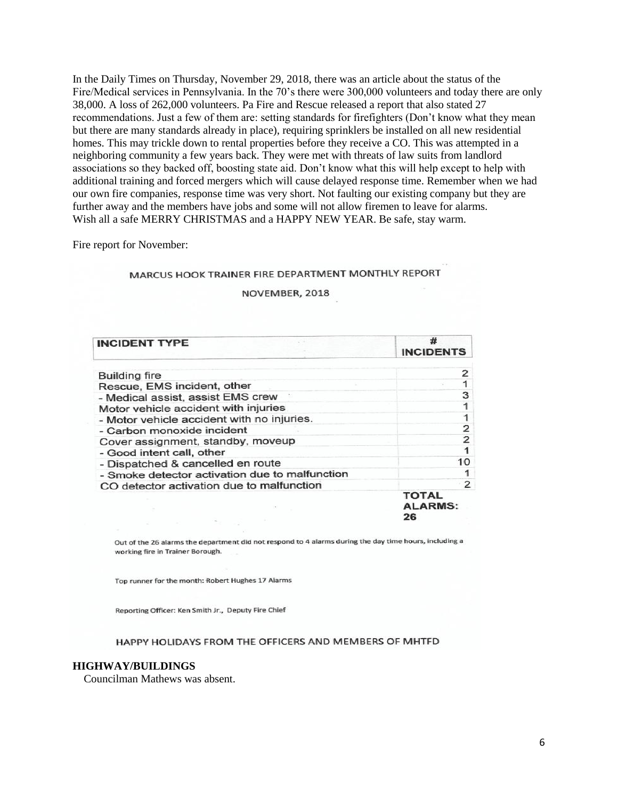In the Daily Times on Thursday, November 29, 2018, there was an article about the status of the Fire/Medical services in Pennsylvania. In the 70's there were 300,000 volunteers and today there are only 38,000. A loss of 262,000 volunteers. Pa Fire and Rescue released a report that also stated 27 recommendations. Just a few of them are: setting standards for firefighters (Don't know what they mean but there are many standards already in place), requiring sprinklers be installed on all new residential homes. This may trickle down to rental properties before they receive a CO. This was attempted in a neighboring community a few years back. They were met with threats of law suits from landlord associations so they backed off, boosting state aid. Don't know what this will help except to help with additional training and forced mergers which will cause delayed response time. Remember when we had our own fire companies, response time was very short. Not faulting our existing company but they are further away and the members have jobs and some will not allow firemen to leave for alarms. Wish all a safe MERRY CHRISTMAS and a HAPPY NEW YEAR. Be safe, stay warm.

Fire report for November:

## MARCUS HOOK TRAINER FIRE DEPARTMENT MONTHLY REPORT

#### NOVEMBER, 2018

| <b>INCIDENT TYPE</b>                           | #<br><b>INCIDENTS</b>                |
|------------------------------------------------|--------------------------------------|
| <b>Building fire</b>                           |                                      |
| Rescue, EMS incident, other                    |                                      |
| - Medical assist, assist EMS crew              | 3                                    |
| Motor vehicle accident with injuries           |                                      |
| - Motor vehicle accident with no injuries.     |                                      |
| - Carbon monoxide incident                     | 2                                    |
| Cover assignment, standby, moveup              | 2                                    |
| - Good intent call, other                      |                                      |
| - Dispatched & cancelled en route              | 10                                   |
| - Smoke detector activation due to malfunction |                                      |
| CO detector activation due to malfunction      | 2                                    |
|                                                | <b>TOTAL</b><br><b>ALARMS:</b><br>26 |

Out of the 26 alarms the department did not respond to 4 alarms during the day time hours, including a working fire in Trainer Borough.

Top runner for the month: Robert Hughes 17 Alarms

Reporting Officer: Ken Smith Jr., Deputy Fire Chief

#### HAPPY HOLIDAYS FROM THE OFFICERS AND MEMBERS OF MHTFD

#### **HIGHWAY/BUILDINGS**

Councilman Mathews was absent.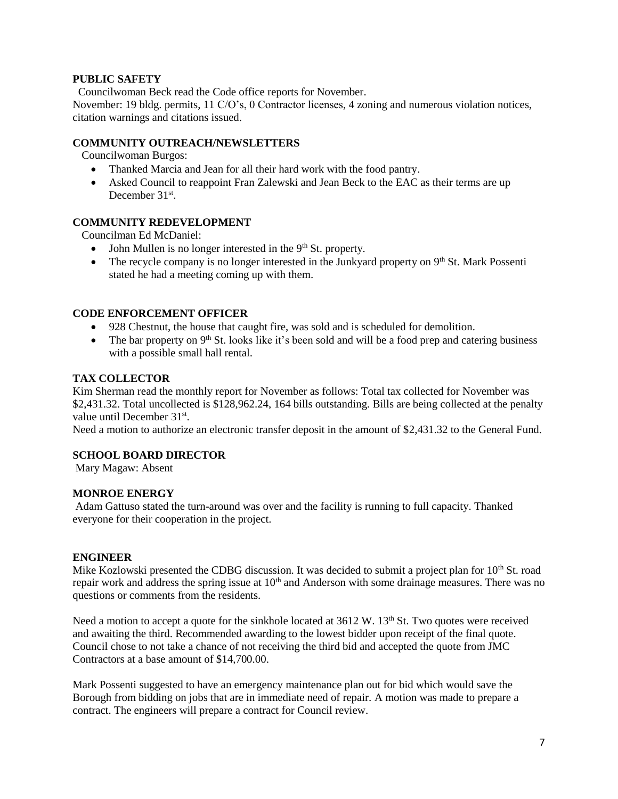## **PUBLIC SAFETY**

Councilwoman Beck read the Code office reports for November.

November: 19 bldg. permits, 11 C/O's, 0 Contractor licenses, 4 zoning and numerous violation notices, citation warnings and citations issued.

## **COMMUNITY OUTREACH/NEWSLETTERS**

Councilwoman Burgos:

- Thanked Marcia and Jean for all their hard work with the food pantry.
- Asked Council to reappoint Fran Zalewski and Jean Beck to the EAC as their terms are up December 31<sup>st</sup>.

## **COMMUNITY REDEVELOPMENT**

Councilman Ed McDaniel:

- $\bullet$  John Mullen is no longer interested in the 9<sup>th</sup> St. property.
- The recycle company is no longer interested in the Junkyard property on  $9<sup>th</sup>$  St. Mark Possenti stated he had a meeting coming up with them.

## **CODE ENFORCEMENT OFFICER**

- 928 Chestnut, the house that caught fire, was sold and is scheduled for demolition.
- The bar property on  $9<sup>th</sup>$  St. looks like it's been sold and will be a food prep and catering business with a possible small hall rental.

### **TAX COLLECTOR**

Kim Sherman read the monthly report for November as follows: Total tax collected for November was \$2,431.32. Total uncollected is \$128,962.24, 164 bills outstanding. Bills are being collected at the penalty value until December 31<sup>st</sup>.

Need a motion to authorize an electronic transfer deposit in the amount of \$2,431.32 to the General Fund.

## **SCHOOL BOARD DIRECTOR**

Mary Magaw: Absent

#### **MONROE ENERGY**

Adam Gattuso stated the turn-around was over and the facility is running to full capacity. Thanked everyone for their cooperation in the project.

#### **ENGINEER**

Mike Kozlowski presented the CDBG discussion. It was decided to submit a project plan for  $10<sup>th</sup>$  St. road repair work and address the spring issue at 10<sup>th</sup> and Anderson with some drainage measures. There was no questions or comments from the residents.

Need a motion to accept a quote for the sinkhole located at 3612 W. 13<sup>th</sup> St. Two quotes were received and awaiting the third. Recommended awarding to the lowest bidder upon receipt of the final quote. Council chose to not take a chance of not receiving the third bid and accepted the quote from JMC Contractors at a base amount of \$14,700.00.

Mark Possenti suggested to have an emergency maintenance plan out for bid which would save the Borough from bidding on jobs that are in immediate need of repair. A motion was made to prepare a contract. The engineers will prepare a contract for Council review.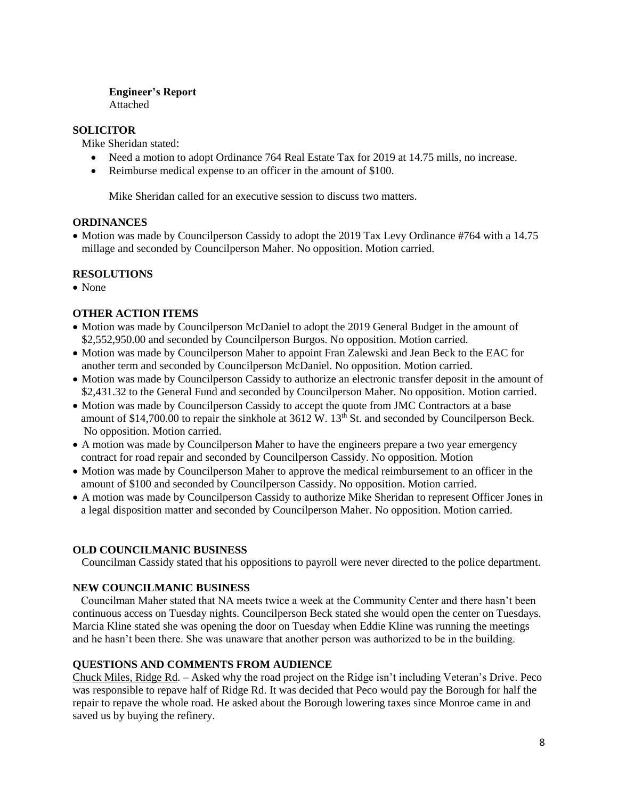## **Engineer's Report** Attached

**SOLICITOR**

Mike Sheridan stated:

- Need a motion to adopt Ordinance 764 Real Estate Tax for 2019 at 14.75 mills, no increase.
- Reimburse medical expense to an officer in the amount of \$100.

Mike Sheridan called for an executive session to discuss two matters.

## **ORDINANCES**

• Motion was made by Councilperson Cassidy to adopt the 2019 Tax Levy Ordinance #764 with a 14.75 millage and seconded by Councilperson Maher. No opposition. Motion carried.

## **RESOLUTIONS**

• None

## **OTHER ACTION ITEMS**

- Motion was made by Councilperson McDaniel to adopt the 2019 General Budget in the amount of \$2,552,950.00 and seconded by Councilperson Burgos. No opposition. Motion carried.
- Motion was made by Councilperson Maher to appoint Fran Zalewski and Jean Beck to the EAC for another term and seconded by Councilperson McDaniel. No opposition. Motion carried.
- Motion was made by Councilperson Cassidy to authorize an electronic transfer deposit in the amount of \$2,431.32 to the General Fund and seconded by Councilperson Maher. No opposition. Motion carried.
- Motion was made by Councilperson Cassidy to accept the quote from JMC Contractors at a base amount of  $$14,700.00$  to repair the sinkhole at  $3612$  W.  $13<sup>th</sup>$  St. and seconded by Councilperson Beck. No opposition. Motion carried.
- A motion was made by Councilperson Maher to have the engineers prepare a two year emergency contract for road repair and seconded by Councilperson Cassidy. No opposition. Motion
- Motion was made by Councilperson Maher to approve the medical reimbursement to an officer in the amount of \$100 and seconded by Councilperson Cassidy. No opposition. Motion carried.
- A motion was made by Councilperson Cassidy to authorize Mike Sheridan to represent Officer Jones in a legal disposition matter and seconded by Councilperson Maher. No opposition. Motion carried.

## **OLD COUNCILMANIC BUSINESS**

Councilman Cassidy stated that his oppositions to payroll were never directed to the police department.

## **NEW COUNCILMANIC BUSINESS**

 Councilman Maher stated that NA meets twice a week at the Community Center and there hasn't been continuous access on Tuesday nights. Councilperson Beck stated she would open the center on Tuesdays. Marcia Kline stated she was opening the door on Tuesday when Eddie Kline was running the meetings and he hasn't been there. She was unaware that another person was authorized to be in the building.

## **QUESTIONS AND COMMENTS FROM AUDIENCE**

Chuck Miles, Ridge Rd. – Asked why the road project on the Ridge isn't including Veteran's Drive. Peco was responsible to repave half of Ridge Rd. It was decided that Peco would pay the Borough for half the repair to repave the whole road. He asked about the Borough lowering taxes since Monroe came in and saved us by buying the refinery.